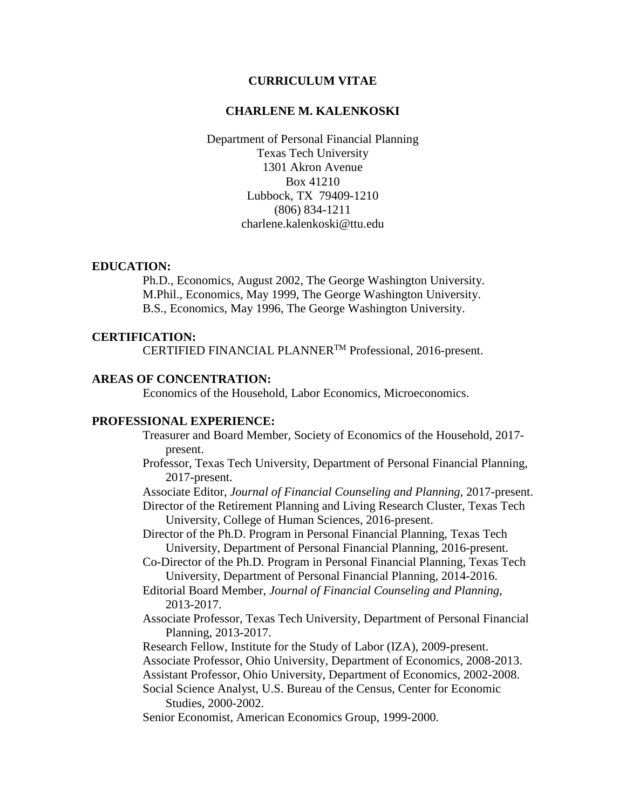### **CURRICULUM VITAE**

### **CHARLENE M. KALENKOSKI**

Department of Personal Financial Planning Texas Tech University 1301 Akron Avenue Box 41210 Lubbock, TX 79409-1210 (806) 834-1211 charlene.kalenkoski@ttu.edu

### **EDUCATION:**

Ph.D., Economics, August 2002, The George Washington University. M.Phil., Economics, May 1999, The George Washington University. B.S., Economics, May 1996, The George Washington University.

#### **CERTIFICATION:**

CERTIFIED FINANCIAL PLANNERTM Professional, 2016-present.

## **AREAS OF CONCENTRATION:**

Economics of the Household, Labor Economics, Microeconomics.

## **PROFESSIONAL EXPERIENCE:**

- Treasurer and Board Member, Society of Economics of the Household, 2017 present.
- Professor, Texas Tech University, Department of Personal Financial Planning, 2017-present.
- Associate Editor, *Journal of Financial Counseling and Planning*, 2017-present.
- Director of the Retirement Planning and Living Research Cluster, Texas Tech University, College of Human Sciences, 2016-present.
- Director of the Ph.D. Program in Personal Financial Planning, Texas Tech University, Department of Personal Financial Planning, 2016-present.
- Co-Director of the Ph.D. Program in Personal Financial Planning, Texas Tech University, Department of Personal Financial Planning, 2014-2016.
- Editorial Board Member, *Journal of Financial Counseling and Planning*, 2013-2017.
- Associate Professor, Texas Tech University, Department of Personal Financial Planning, 2013-2017.

Research Fellow, Institute for the Study of Labor (IZA), 2009-present.

Associate Professor, Ohio University, Department of Economics, 2008-2013.

Assistant Professor, Ohio University, Department of Economics, 2002-2008. Social Science Analyst, U.S. Bureau of the Census, Center for Economic

Studies, 2000-2002.

Senior Economist, American Economics Group, 1999-2000.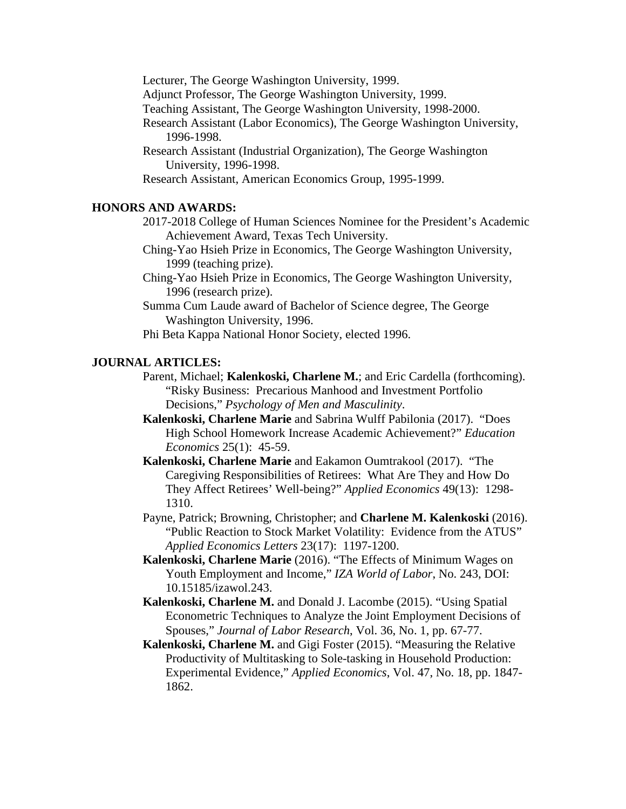Lecturer, The George Washington University, 1999. Adjunct Professor, The George Washington University, 1999. Teaching Assistant, The George Washington University, 1998-2000. Research Assistant (Labor Economics), The George Washington University, 1996-1998. Research Assistant (Industrial Organization), The George Washington University, 1996-1998. Research Assistant, American Economics Group, 1995-1999.

# **HONORS AND AWARDS:**

2017-2018 College of Human Sciences Nominee for the President's Academic Achievement Award, Texas Tech University.

Ching-Yao Hsieh Prize in Economics, The George Washington University, 1999 (teaching prize).

Ching-Yao Hsieh Prize in Economics, The George Washington University, 1996 (research prize).

Summa Cum Laude award of Bachelor of Science degree, The George Washington University, 1996.

Phi Beta Kappa National Honor Society, elected 1996.

## **JOURNAL ARTICLES:**

Parent, Michael; **Kalenkoski, Charlene M.**; and Eric Cardella (forthcoming). "Risky Business: Precarious Manhood and Investment Portfolio Decisions," *Psychology of Men and Masculinity*.

**Kalenkoski, Charlene Marie** and Sabrina Wulff Pabilonia (2017). "Does High School Homework Increase Academic Achievement?" *Education Economics* 25(1): 45-59.

**Kalenkoski, Charlene Marie** and Eakamon Oumtrakool (2017). "The Caregiving Responsibilities of Retirees: What Are They and How Do They Affect Retirees' Well-being?" *Applied Economics* 49(13): 1298- 1310.

Payne, Patrick; Browning, Christopher; and **Charlene M. Kalenkoski** (2016). "Public Reaction to Stock Market Volatility: Evidence from the ATUS" *Applied Economics Letters* 23(17): 1197-1200.

**Kalenkoski, Charlene Marie** (2016). "The Effects of Minimum Wages on Youth Employment and Income," *IZA World of Labor*, No. 243, DOI: 10.15185/izawol.243.

**Kalenkoski, Charlene M.** and Donald J. Lacombe (2015). "Using Spatial Econometric Techniques to Analyze the Joint Employment Decisions of Spouses," *Journal of Labor Research*, Vol. 36, No. 1, pp. 67-77.

**Kalenkoski, Charlene M.** and Gigi Foster (2015). "Measuring the Relative Productivity of Multitasking to Sole-tasking in Household Production: Experimental Evidence," *Applied Economics*, Vol. 47, No. 18, pp. 1847- 1862.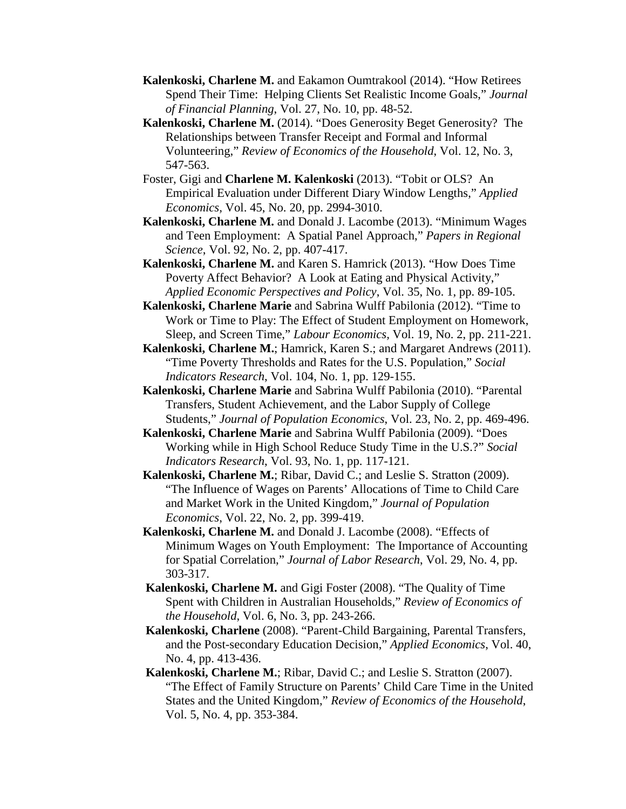- **Kalenkoski, Charlene M.** and Eakamon Oumtrakool (2014). "How Retirees Spend Their Time: Helping Clients Set Realistic Income Goals," *Journal of Financial Planning*, Vol. 27, No. 10, pp. 48-52.
- **Kalenkoski, Charlene M.** (2014). "Does Generosity Beget Generosity? The Relationships between Transfer Receipt and Formal and Informal Volunteering," *Review of Economics of the Household*, Vol. 12, No. 3, 547-563.
- Foster, Gigi and **Charlene M. Kalenkoski** (2013). "Tobit or OLS? An Empirical Evaluation under Different Diary Window Lengths," *Applied Economics,* Vol. 45, No. 20, pp. 2994-3010.
- **Kalenkoski, Charlene M.** and Donald J. Lacombe (2013). "Minimum Wages and Teen Employment: A Spatial Panel Approach," *Papers in Regional Science*, Vol. 92, No. 2, pp. 407-417.
- **Kalenkoski, Charlene M.** and Karen S. Hamrick (2013). "How Does Time Poverty Affect Behavior? A Look at Eating and Physical Activity," *Applied Economic Perspectives and Policy*, Vol. 35, No. 1, pp. 89-105.
- **Kalenkoski, Charlene Marie** and Sabrina Wulff Pabilonia (2012). "Time to Work or Time to Play: The Effect of Student Employment on Homework, Sleep, and Screen Time," *Labour Economics,* [Vol.](http://dx.doi.org/10.1016/j.labeco.2011.10.002) 19, No. 2, pp. 211-221.
- **Kalenkoski, Charlene M.**; Hamrick, Karen S.; and Margaret Andrews (2011). "Time Poverty Thresholds and Rates for the U.S. Population," *Social Indicators Research*, Vol. 104, No. 1, pp. 129-155.
- **Kalenkoski, Charlene Marie** and Sabrina Wulff Pabilonia (2010). "Parental Transfers, Student Achievement, and the Labor Supply of College Students," *Journal of Population Economics*, Vol. 23, No. 2, pp. 469-496.
- **Kalenkoski, Charlene Marie** and Sabrina Wulff Pabilonia (2009). "Does Working while in High School Reduce Study Time in the U.S.?" *Social Indicators Research*, Vol. 93, No. 1, pp. 117-121.
- **Kalenkoski, Charlene M.**; Ribar, David C.; and Leslie S. Stratton (2009). "The Influence of Wages on Parents' Allocations of Time to Child Care and Market Work in the United Kingdom," *Journal of Population Economics*, Vol. 22, No. 2, pp. 399-419.
- **Kalenkoski, Charlene M.** and Donald J. Lacombe (2008). "Effects of Minimum Wages on Youth Employment: The Importance of Accounting for Spatial Correlation," *Journal of Labor Research*, Vol. 29, No. 4, pp. 303-317.
- **Kalenkoski, Charlene M.** and Gigi Foster (2008). "The Quality of Time Spent with Children in Australian Households," *Review of Economics of the Household*, Vol. 6, No. 3, pp. 243-266.
- **Kalenkoski, Charlene** (2008). "Parent-Child Bargaining, Parental Transfers, and the Post-secondary Education Decision," *Applied Economics*, Vol. 40, No. 4, pp. 413-436.
- **Kalenkoski, Charlene M.**; Ribar, David C.; and Leslie S. Stratton (2007). "The Effect of Family Structure on Parents' Child Care Time in the United States and the United Kingdom," *Review of Economics of the Household*, Vol. 5, No. 4, pp. 353-384.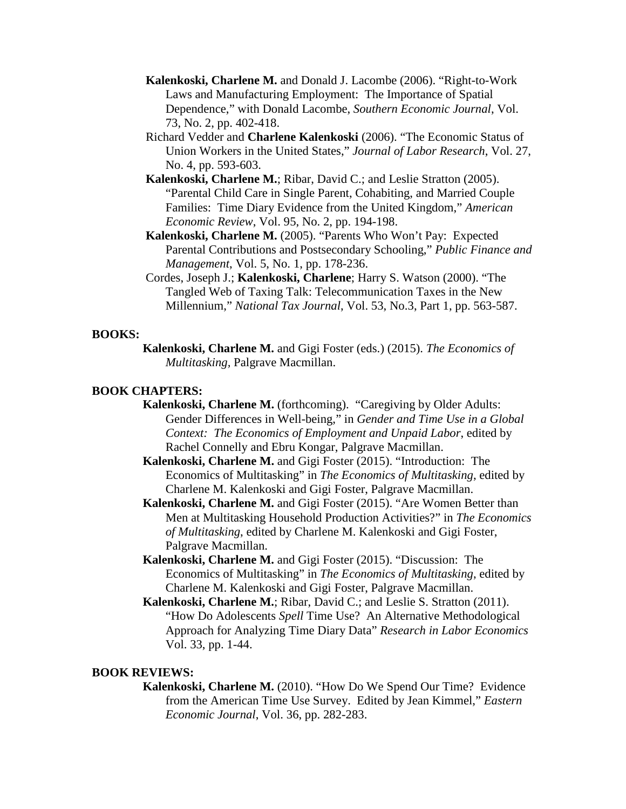- **Kalenkoski, Charlene M.** and Donald J. Lacombe (2006). "Right-to-Work Laws and Manufacturing Employment: The Importance of Spatial Dependence," with Donald Lacombe, *Southern Economic Journal*, Vol. 73, No. 2, pp. 402-418.
- Richard Vedder and **Charlene Kalenkoski** (2006). "The Economic Status of Union Workers in the United States," *Journal of Labor Research*, Vol. 27, No. 4, pp. 593-603.
- **Kalenkoski, Charlene M.**; Ribar, David C.; and Leslie Stratton (2005). "Parental Child Care in Single Parent, Cohabiting, and Married Couple Families: Time Diary Evidence from the United Kingdom," *American Economic Review*, Vol. 95, No. 2, pp. 194-198.
- **Kalenkoski, Charlene M.** (2005). "Parents Who Won't Pay: Expected Parental Contributions and Postsecondary Schooling," *Public Finance and Management*, Vol. 5, No. 1, pp. 178-236.
- Cordes, Joseph J.; **Kalenkoski, Charlene**; Harry S. Watson (2000). "The Tangled Web of Taxing Talk: Telecommunication Taxes in the New Millennium," *National Tax Journal*, Vol. 53, No.3, Part 1, pp. 563-587.

## **BOOKS:**

**Kalenkoski, Charlene M.** and Gigi Foster (eds.) (2015). *The Economics of Multitasking,* Palgrave Macmillan.

# **BOOK CHAPTERS:**

- **Kalenkoski, Charlene M.** (forthcoming). "Caregiving by Older Adults: Gender Differences in Well-being," in *Gender and Time Use in a Global Context: The Economics of Employment and Unpaid Labor*, edited by Rachel Connelly and Ebru Kongar, Palgrave Macmillan.
- **Kalenkoski, Charlene M.** and Gigi Foster (2015). "Introduction: The Economics of Multitasking" in *The Economics of Multitasking*, edited by Charlene M. Kalenkoski and Gigi Foster, Palgrave Macmillan.
- **Kalenkoski, Charlene M.** and Gigi Foster (2015). "Are Women Better than Men at Multitasking Household Production Activities?" in *The Economics of Multitasking*, edited by Charlene M. Kalenkoski and Gigi Foster, Palgrave Macmillan.
- **Kalenkoski, Charlene M.** and Gigi Foster (2015). "Discussion: The Economics of Multitasking" in *The Economics of Multitasking*, edited by Charlene M. Kalenkoski and Gigi Foster, Palgrave Macmillan.
- **Kalenkoski, Charlene M.**; Ribar, David C.; and Leslie S. Stratton (2011). "How Do Adolescents *Spell* Time Use? An Alternative Methodological Approach for Analyzing Time Diary Data" *Research in Labor Economics* Vol. 33, pp. 1-44.

## **BOOK REVIEWS:**

**Kalenkoski, Charlene M.** (2010). "How Do We Spend Our Time? Evidence from the American Time Use Survey. Edited by Jean Kimmel," *Eastern Economic Journal*, Vol. 36, pp. 282-283.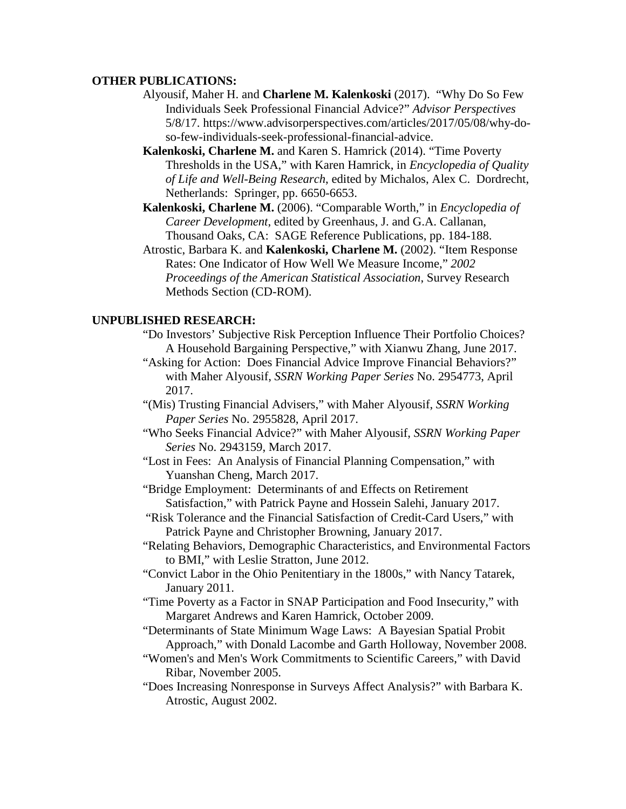### **OTHER PUBLICATIONS:**

- Alyousif, Maher H. and **Charlene M. Kalenkoski** (2017). "Why Do So Few Individuals Seek Professional Financial Advice?" *Advisor Perspectives* 5/8/17. https://www.advisorperspectives.com/articles/2017/05/08/why-doso-few-individuals-seek-professional-financial-advice.
- **Kalenkoski, Charlene M.** and Karen S. Hamrick (2014). "Time Poverty Thresholds in the USA," with Karen Hamrick, in *Encyclopedia of Quality of Life and Well-Being Research*, edited by Michalos, Alex C. Dordrecht, Netherlands: Springer, pp. 6650-6653.
- **Kalenkoski, Charlene M.** (2006). "Comparable Worth," in *Encyclopedia of Career Development*, edited by Greenhaus, J. and G.A. Callanan, Thousand Oaks, CA: SAGE Reference Publications, pp. 184-188.
- Atrostic, Barbara K. and **Kalenkoski, Charlene M.** (2002). "Item Response Rates: One Indicator of How Well We Measure Income," *2002 Proceedings of the American Statistical Association*, Survey Research Methods Section (CD-ROM).

### **UNPUBLISHED RESEARCH:**

- "Do Investors' Subjective Risk Perception Influence Their Portfolio Choices? A Household Bargaining Perspective," with Xianwu Zhang, June 2017.
- "Asking for Action: Does Financial Advice Improve Financial Behaviors?" with Maher Alyousif, *SSRN Working Paper Series* No. 2954773, April 2017.
- "(Mis) Trusting Financial Advisers," with Maher Alyousif, *SSRN Working Paper Series* No. 2955828, April 2017.
- "Who Seeks Financial Advice?" with Maher Alyousif, *SSRN Working Paper Series* No. 2943159, March 2017.
- "Lost in Fees: An Analysis of Financial Planning Compensation," with Yuanshan Cheng, March 2017.
- "Bridge Employment: Determinants of and Effects on Retirement Satisfaction," with Patrick Payne and Hossein Salehi, January 2017.
- "Risk Tolerance and the Financial Satisfaction of Credit-Card Users," with Patrick Payne and Christopher Browning, January 2017.
- "Relating Behaviors, Demographic Characteristics, and Environmental Factors to BMI," with Leslie Stratton, June 2012.
- "Convict Labor in the Ohio Penitentiary in the 1800s," with Nancy Tatarek, January 2011.
- "Time Poverty as a Factor in SNAP Participation and Food Insecurity," with Margaret Andrews and Karen Hamrick, October 2009.
- "Determinants of State Minimum Wage Laws: A Bayesian Spatial Probit Approach," with Donald Lacombe and Garth Holloway, November 2008.
- "Women's and Men's Work Commitments to Scientific Careers," with David Ribar, November 2005.
- "Does Increasing Nonresponse in Surveys Affect Analysis?" with Barbara K. Atrostic, August 2002.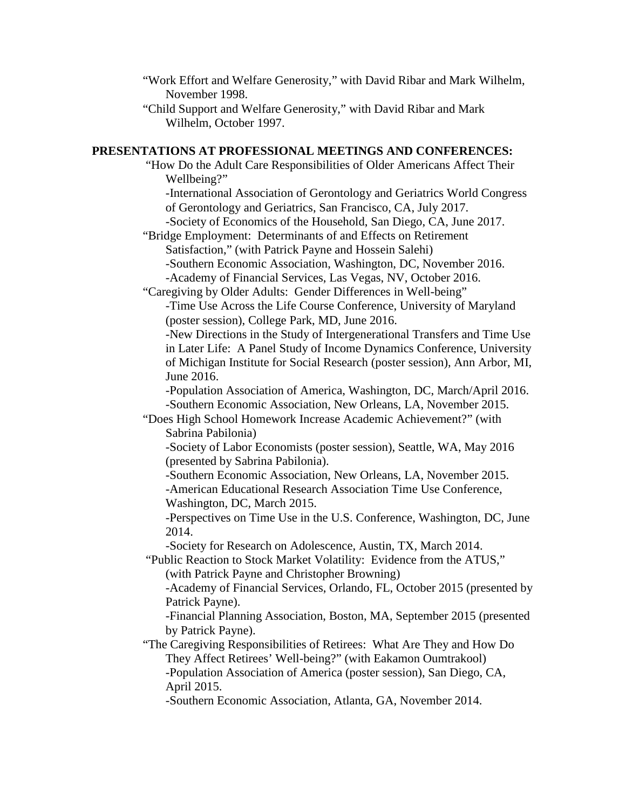- "Work Effort and Welfare Generosity," with David Ribar and Mark Wilhelm, November 1998.
- "Child Support and Welfare Generosity," with David Ribar and Mark Wilhelm, October 1997.

# **PRESENTATIONS AT PROFESSIONAL MEETINGS AND CONFERENCES:**

"How Do the Adult Care Responsibilities of Older Americans Affect Their Wellbeing?"

-International Association of Gerontology and Geriatrics World Congress of Gerontology and Geriatrics, San Francisco, CA, July 2017. -Society of Economics of the Household, San Diego, CA, June 2017.

"Bridge Employment: Determinants of and Effects on Retirement Satisfaction," (with Patrick Payne and Hossein Salehi) -Southern Economic Association, Washington, DC, November 2016. -Academy of Financial Services, Las Vegas, NV, October 2016.

"Caregiving by Older Adults: Gender Differences in Well-being"

-Time Use Across the Life Course Conference, University of Maryland (poster session), College Park, MD, June 2016.

-New Directions in the Study of Intergenerational Transfers and Time Use in Later Life: A Panel Study of Income Dynamics Conference, University of Michigan Institute for Social Research (poster session), Ann Arbor, MI, June 2016.

-Population Association of America, Washington, DC, March/April 2016. -Southern Economic Association, New Orleans, LA, November 2015.

"Does High School Homework Increase Academic Achievement?" (with Sabrina Pabilonia)

-Society of Labor Economists (poster session), Seattle, WA, May 2016 (presented by Sabrina Pabilonia).

-Southern Economic Association, New Orleans, LA, November 2015. -American Educational Research Association Time Use Conference, Washington, DC, March 2015.

-Perspectives on Time Use in the U.S. Conference, Washington, DC, June 2014.

-Society for Research on Adolescence, Austin, TX, March 2014.

"Public Reaction to Stock Market Volatility: Evidence from the ATUS," (with Patrick Payne and Christopher Browning)

-Academy of Financial Services, Orlando, FL, October 2015 (presented by Patrick Payne).

-Financial Planning Association, Boston, MA, September 2015 (presented by Patrick Payne).

"The Caregiving Responsibilities of Retirees: What Are They and How Do They Affect Retirees' Well-being?" (with Eakamon Oumtrakool) -Population Association of America (poster session), San Diego, CA, April 2015.

-Southern Economic Association, Atlanta, GA, November 2014.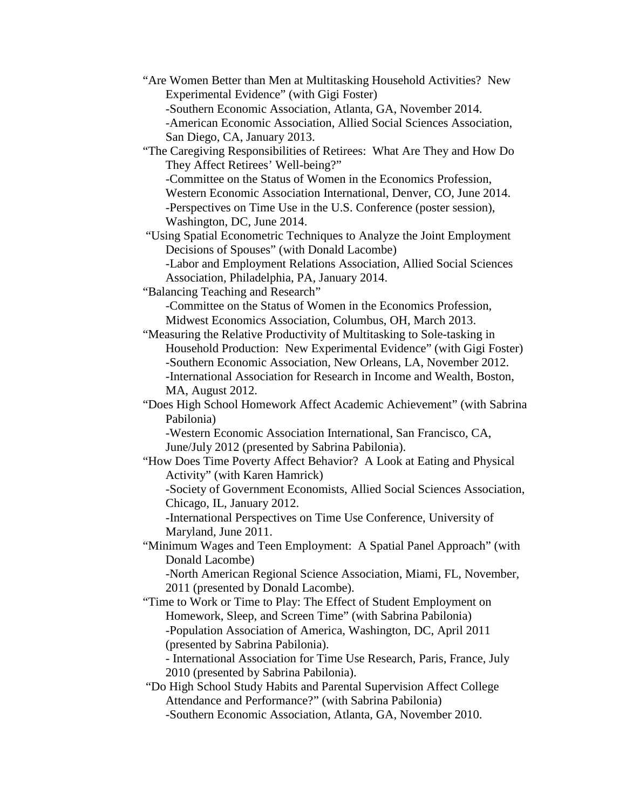"Are Women Better than Men at Multitasking Household Activities? New Experimental Evidence" (with Gigi Foster) -Southern Economic Association, Atlanta, GA, November 2014. -American Economic Association, Allied Social Sciences Association, San Diego, CA, January 2013. "The Caregiving Responsibilities of Retirees: What Are They and How Do They Affect Retirees' Well-being?" -Committee on the Status of Women in the Economics Profession, Western Economic Association International, Denver, CO, June 2014. -Perspectives on Time Use in the U.S. Conference (poster session), Washington, DC, June 2014. "Using Spatial Econometric Techniques to Analyze the Joint Employment Decisions of Spouses" (with Donald Lacombe) -Labor and Employment Relations Association, Allied Social Sciences Association, Philadelphia, PA, January 2014. "Balancing Teaching and Research" -Committee on the Status of Women in the Economics Profession, Midwest Economics Association, Columbus, OH, March 2013. "Measuring the Relative Productivity of Multitasking to Sole-tasking in Household Production: New Experimental Evidence" (with Gigi Foster) -Southern Economic Association, New Orleans, LA, November 2012. -International Association for Research in Income and Wealth, Boston, MA, August 2012. "Does High School Homework Affect Academic Achievement" (with Sabrina Pabilonia) -Western Economic Association International, San Francisco, CA, June/July 2012 (presented by Sabrina Pabilonia). "How Does Time Poverty Affect Behavior? A Look at Eating and Physical Activity" (with Karen Hamrick) -Society of Government Economists, Allied Social Sciences Association, Chicago, IL, January 2012. -International Perspectives on Time Use Conference, University of Maryland, June 2011. "Minimum Wages and Teen Employment: A Spatial Panel Approach" (with Donald Lacombe) -North American Regional Science Association, Miami, FL, November, 2011 (presented by Donald Lacombe). "Time to Work or Time to Play: The Effect of Student Employment on Homework, Sleep, and Screen Time" (with Sabrina Pabilonia) -Population Association of America, Washington, DC, April 2011 (presented by Sabrina Pabilonia). - International Association for Time Use Research, Paris, France, July 2010 (presented by Sabrina Pabilonia). "Do High School Study Habits and Parental Supervision Affect College Attendance and Performance?" (with Sabrina Pabilonia) -Southern Economic Association, Atlanta, GA, November 2010.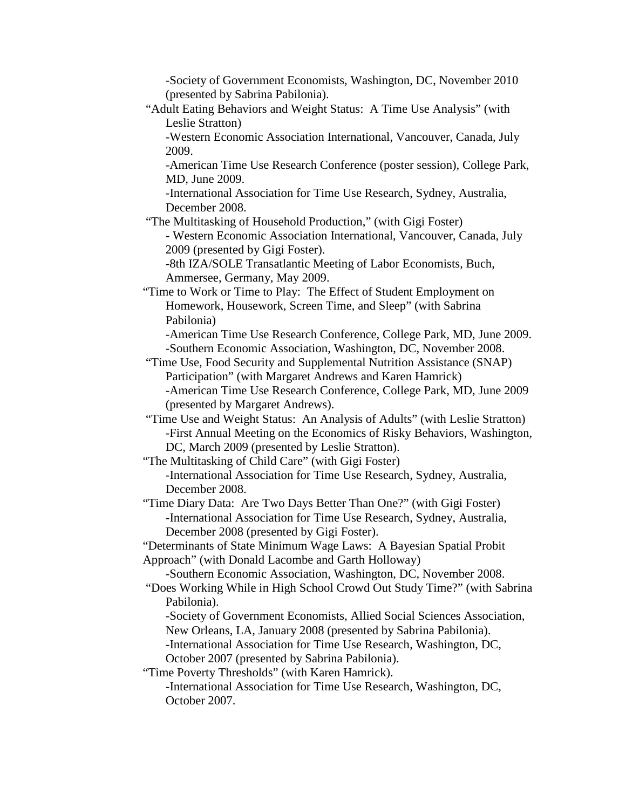-Society of Government Economists, Washington, DC, November 2010 (presented by Sabrina Pabilonia).

"Adult Eating Behaviors and Weight Status: A Time Use Analysis" (with Leslie Stratton)

-Western Economic Association International, Vancouver, Canada, July 2009.

-American Time Use Research Conference (poster session), College Park, MD, June 2009.

-International Association for Time Use Research, Sydney, Australia, December 2008.

"The Multitasking of Household Production," (with Gigi Foster)

- Western Economic Association International, Vancouver, Canada, July 2009 (presented by Gigi Foster).

-8th IZA/SOLE Transatlantic Meeting of Labor Economists, Buch, Ammersee, Germany, May 2009.

"Time to Work or Time to Play: The Effect of Student Employment on Homework, Housework, Screen Time, and Sleep" (with Sabrina Pabilonia)

-American Time Use Research Conference, College Park, MD, June 2009. -Southern Economic Association, Washington, DC, November 2008.

- "Time Use, Food Security and Supplemental Nutrition Assistance (SNAP) Participation" (with Margaret Andrews and Karen Hamrick) -American Time Use Research Conference, College Park, MD, June 2009 (presented by Margaret Andrews).
- "Time Use and Weight Status: An Analysis of Adults" (with Leslie Stratton) -First Annual Meeting on the Economics of Risky Behaviors, Washington, DC, March 2009 (presented by Leslie Stratton).

"The Multitasking of Child Care" (with Gigi Foster) -International Association for Time Use Research, Sydney, Australia, December 2008.

"Time Diary Data: Are Two Days Better Than One?" (with Gigi Foster) -International Association for Time Use Research, Sydney, Australia, December 2008 (presented by Gigi Foster).

"Determinants of State Minimum Wage Laws: A Bayesian Spatial Probit Approach" (with Donald Lacombe and Garth Holloway)

-Southern Economic Association, Washington, DC, November 2008.

"Does Working While in High School Crowd Out Study Time?" (with Sabrina Pabilonia).

-Society of Government Economists, Allied Social Sciences Association, New Orleans, LA, January 2008 (presented by Sabrina Pabilonia).

-International Association for Time Use Research, Washington, DC, October 2007 (presented by Sabrina Pabilonia).

"Time Poverty Thresholds" (with Karen Hamrick).

-International Association for Time Use Research, Washington, DC, October 2007.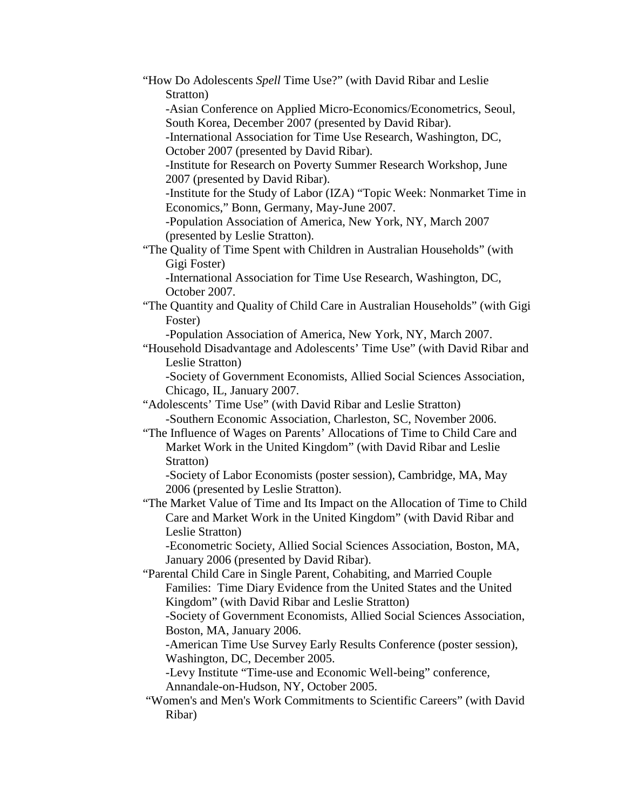"How Do Adolescents *Spell* Time Use?" (with David Ribar and Leslie Stratton) -Asian Conference on Applied Micro-Economics/Econometrics, Seoul, South Korea, December 2007 (presented by David Ribar). -International Association for Time Use Research, Washington, DC, October 2007 (presented by David Ribar). -Institute for Research on Poverty Summer Research Workshop, June 2007 (presented by David Ribar). -Institute for the Study of Labor (IZA) "Topic Week: Nonmarket Time in Economics," Bonn, Germany, May-June 2007. -Population Association of America, New York, NY, March 2007 (presented by Leslie Stratton). "The Quality of Time Spent with Children in Australian Households" (with Gigi Foster) -International Association for Time Use Research, Washington, DC, October 2007. "The Quantity and Quality of Child Care in Australian Households" (with Gigi Foster) -Population Association of America, New York, NY, March 2007. "Household Disadvantage and Adolescents' Time Use" (with David Ribar and Leslie Stratton) -Society of Government Economists, Allied Social Sciences Association, Chicago, IL, January 2007. "Adolescents' Time Use" (with David Ribar and Leslie Stratton) -Southern Economic Association, Charleston, SC, November 2006. "The Influence of Wages on Parents' Allocations of Time to Child Care and Market Work in the United Kingdom" (with David Ribar and Leslie Stratton) -Society of Labor Economists (poster session), Cambridge, MA, May 2006 (presented by Leslie Stratton). "The Market Value of Time and Its Impact on the Allocation of Time to Child Care and Market Work in the United Kingdom" (with David Ribar and Leslie Stratton) -Econometric Society, Allied Social Sciences Association, Boston, MA, January 2006 (presented by David Ribar). "Parental Child Care in Single Parent, Cohabiting, and Married Couple Families: Time Diary Evidence from the United States and the United Kingdom" (with David Ribar and Leslie Stratton) -Society of Government Economists, Allied Social Sciences Association, Boston, MA, January 2006. -American Time Use Survey Early Results Conference (poster session), Washington, DC, December 2005. -Levy Institute "Time-use and Economic Well-being" conference, Annandale-on-Hudson, NY, October 2005. "Women's and Men's Work Commitments to Scientific Careers" (with David Ribar)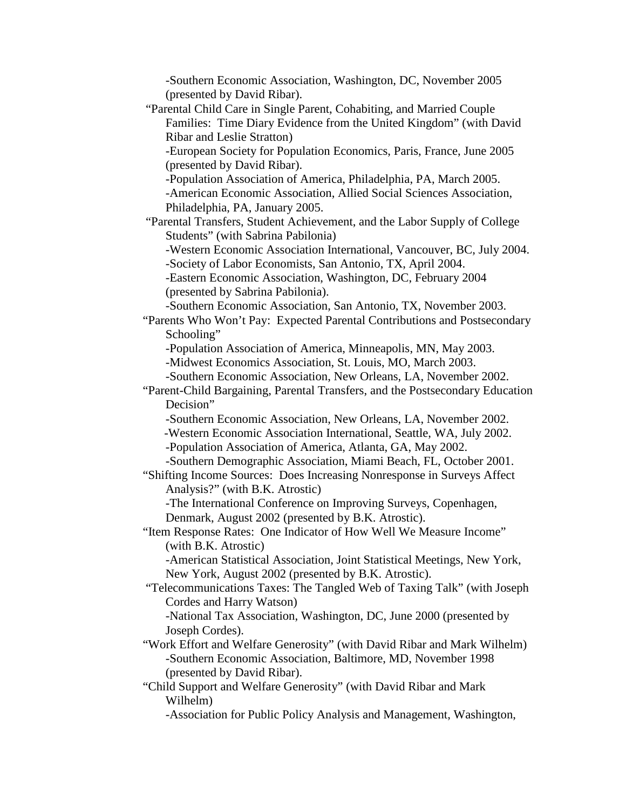-Southern Economic Association, Washington, DC, November 2005 (presented by David Ribar). "Parental Child Care in Single Parent, Cohabiting, and Married Couple Families: Time Diary Evidence from the United Kingdom" (with David Ribar and Leslie Stratton) -European Society for Population Economics, Paris, France, June 2005 (presented by David Ribar). -Population Association of America, Philadelphia, PA, March 2005. -American Economic Association, Allied Social Sciences Association, Philadelphia, PA, January 2005. "Parental Transfers, Student Achievement, and the Labor Supply of College Students" (with Sabrina Pabilonia) -Western Economic Association International, Vancouver, BC, July 2004. -Society of Labor Economists, San Antonio, TX, April 2004. -Eastern Economic Association, Washington, DC, February 2004 (presented by Sabrina Pabilonia). -Southern Economic Association, San Antonio, TX, November 2003. "Parents Who Won't Pay: Expected Parental Contributions and Postsecondary Schooling" -Population Association of America, Minneapolis, MN, May 2003. -Midwest Economics Association, St. Louis, MO, March 2003. -Southern Economic Association, New Orleans, LA, November 2002. "Parent-Child Bargaining, Parental Transfers, and the Postsecondary Education Decision" -Southern Economic Association, New Orleans, LA, November 2002. -Western Economic Association International, Seattle, WA, July 2002. -Population Association of America, Atlanta, GA, May 2002. -Southern Demographic Association, Miami Beach, FL, October 2001. "Shifting Income Sources: Does Increasing Nonresponse in Surveys Affect Analysis?" (with B.K. Atrostic) -The International Conference on Improving Surveys, Copenhagen, Denmark, August 2002 (presented by B.K. Atrostic). "Item Response Rates: One Indicator of How Well We Measure Income" (with B.K. Atrostic) -American Statistical Association, Joint Statistical Meetings, New York, New York, August 2002 (presented by B.K. Atrostic). "Telecommunications Taxes: The Tangled Web of Taxing Talk" (with Joseph Cordes and Harry Watson) -National Tax Association, Washington, DC, June 2000 (presented by Joseph Cordes). "Work Effort and Welfare Generosity" (with David Ribar and Mark Wilhelm) -Southern Economic Association, Baltimore, MD, November 1998 (presented by David Ribar). "Child Support and Welfare Generosity" (with David Ribar and Mark Wilhelm)

-Association for Public Policy Analysis and Management, Washington,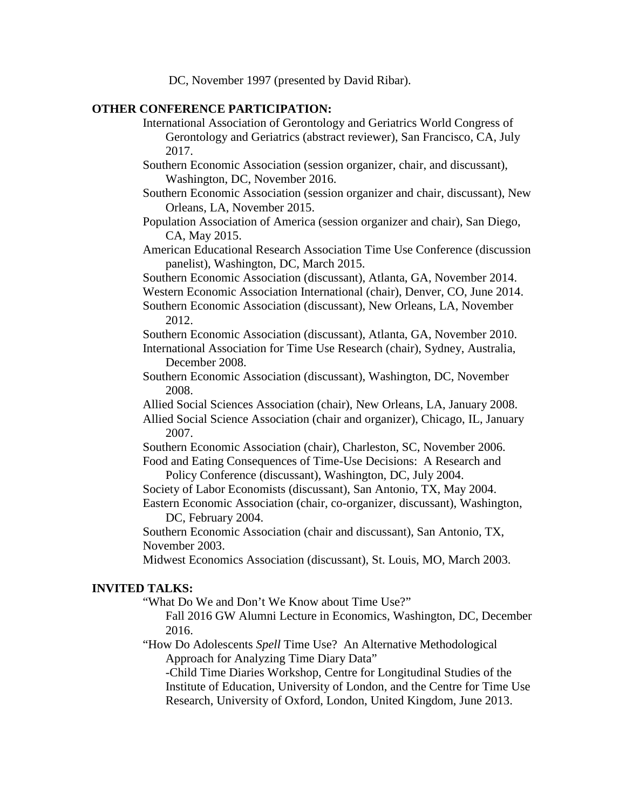DC, November 1997 (presented by David Ribar).

## **OTHER CONFERENCE PARTICIPATION:**

International Association of Gerontology and Geriatrics World Congress of Gerontology and Geriatrics (abstract reviewer), San Francisco, CA, July 2017.

Southern Economic Association (session organizer, chair, and discussant), Washington, DC, November 2016.

Southern Economic Association (session organizer and chair, discussant), New Orleans, LA, November 2015.

Population Association of America (session organizer and chair), San Diego, CA, May 2015.

American Educational Research Association Time Use Conference (discussion panelist), Washington, DC, March 2015.

Southern Economic Association (discussant), Atlanta, GA, November 2014.

Western Economic Association International (chair), Denver, CO, June 2014.

Southern Economic Association (discussant), New Orleans, LA, November 2012.

Southern Economic Association (discussant), Atlanta, GA, November 2010. International Association for Time Use Research (chair), Sydney, Australia, December 2008.

Southern Economic Association (discussant), Washington, DC, November 2008.

Allied Social Sciences Association (chair), New Orleans, LA, January 2008.

Allied Social Science Association (chair and organizer), Chicago, IL, January 2007.

Southern Economic Association (chair), Charleston, SC, November 2006. Food and Eating Consequences of Time-Use Decisions: A Research and

Policy Conference (discussant), Washington, DC, July 2004.

Society of Labor Economists (discussant), San Antonio, TX, May 2004.

Eastern Economic Association (chair, co-organizer, discussant), Washington, DC, February 2004.

Southern Economic Association (chair and discussant), San Antonio, TX, November 2003.

Midwest Economics Association (discussant), St. Louis, MO, March 2003.

### **INVITED TALKS:**

"What Do We and Don't We Know about Time Use?"

Fall 2016 GW Alumni Lecture in Economics, Washington, DC, December 2016.

"How Do Adolescents *Spell* Time Use? An Alternative Methodological Approach for Analyzing Time Diary Data"

-Child Time Diaries Workshop, Centre for Longitudinal Studies of the Institute of Education, University of London, and the Centre for Time Use Research, University of Oxford, London, United Kingdom, June 2013.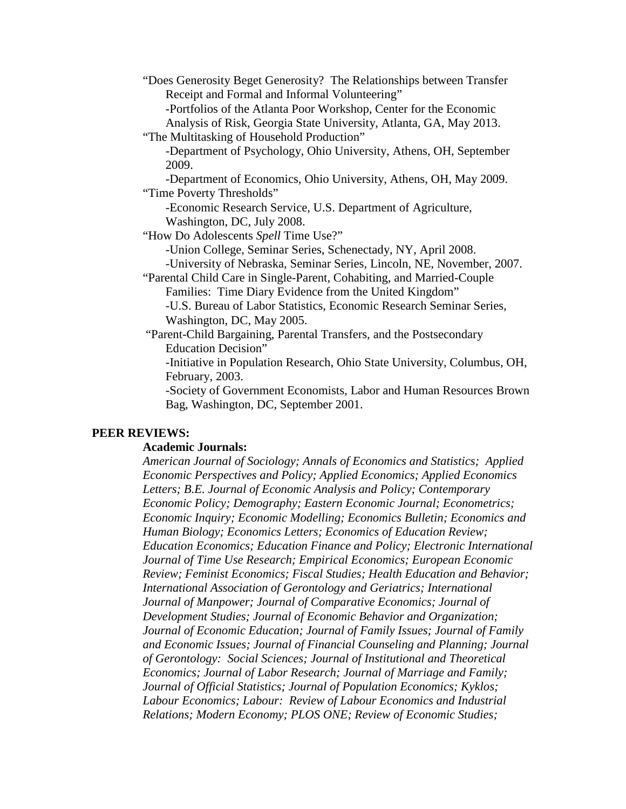"Does Generosity Beget Generosity? The Relationships between Transfer Receipt and Formal and Informal Volunteering" -Portfolios of the Atlanta Poor Workshop, Center for the Economic Analysis of Risk, Georgia State University, Atlanta, GA, May 2013. "The Multitasking of Household Production" -Department of Psychology, Ohio University, Athens, OH, September 2009. -Department of Economics, Ohio University, Athens, OH, May 2009. "Time Poverty Thresholds" -Economic Research Service, U.S. Department of Agriculture, Washington, DC, July 2008. "How Do Adolescents *Spell* Time Use?" -Union College, Seminar Series, Schenectady, NY, April 2008. -University of Nebraska, Seminar Series, Lincoln, NE, November, 2007. "Parental Child Care in Single-Parent, Cohabiting, and Married-Couple Families: Time Diary Evidence from the United Kingdom" -U.S. Bureau of Labor Statistics, Economic Research Seminar Series, Washington, DC, May 2005. "Parent-Child Bargaining, Parental Transfers, and the Postsecondary Education Decision" -Initiative in Population Research, Ohio State University, Columbus, OH,

February, 2003.

-Society of Government Economists, Labor and Human Resources Brown Bag, Washington, DC, September 2001.

#### **PEER REVIEWS:**

#### **Academic Journals:**

*American Journal of Sociology; Annals of Economics and Statistics; Applied Economic Perspectives and Policy; Applied Economics; Applied Economics Letters; B.E. Journal of Economic Analysis and Policy; Contemporary Economic Policy; Demography; Eastern Economic Journal; Econometrics; Economic Inquiry; Economic Modelling; Economics Bulletin; Economics and Human Biology; Economics Letters; Economics of Education Review; Education Economics; Education Finance and Policy; Electronic International Journal of Time Use Research; Empirical Economics; European Economic Review; Feminist Economics; Fiscal Studies; Health Education and Behavior; International Association of Gerontology and Geriatrics; International Journal of Manpower; Journal of Comparative Economics; Journal of Development Studies; Journal of Economic Behavior and Organization; Journal of Economic Education; Journal of Family Issues; Journal of Family and Economic Issues; Journal of Financial Counseling and Planning; Journal of Gerontology: Social Sciences; Journal of Institutional and Theoretical Economics; Journal of Labor Research; Journal of Marriage and Family; Journal of Official Statistics; Journal of Population Economics; Kyklos; Labour Economics; Labour: Review of Labour Economics and Industrial Relations; Modern Economy; PLOS ONE; Review of Economic Studies;*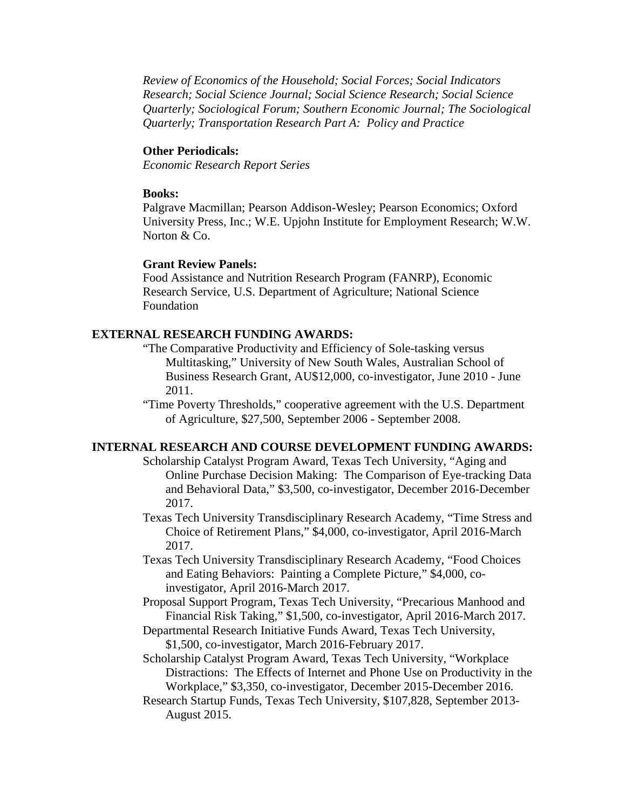*Review of Economics of the Household; Social Forces; Social Indicators Research; Social Science Journal; Social Science Research; Social Science Quarterly; Sociological Forum; Southern Economic Journal; The Sociological Quarterly; Transportation Research Part A: Policy and Practice*

### **Other Periodicals:**

*Economic Research Report Series*

#### **Books:**

Palgrave Macmillan; Pearson Addison-Wesley; Pearson Economics; Oxford University Press, Inc.; W.E. Upjohn Institute for Employment Research; W.W. Norton & Co.

## **Grant Review Panels:**

Food Assistance and Nutrition Research Program (FANRP), Economic Research Service, U.S. Department of Agriculture; National Science Foundation

### **EXTERNAL RESEARCH FUNDING AWARDS:**

- "The Comparative Productivity and Efficiency of Sole-tasking versus Multitasking," University of New South Wales, Australian School of Business Research Grant, AU\$12,000, co-investigator, June 2010 - June 2011.
- "Time Poverty Thresholds," cooperative agreement with the U.S. Department of Agriculture, \$27,500, September 2006 - September 2008.

#### **INTERNAL RESEARCH AND COURSE DEVELOPMENT FUNDING AWARDS:**

- Scholarship Catalyst Program Award, Texas Tech University, "Aging and Online Purchase Decision Making: The Comparison of Eye-tracking Data and Behavioral Data," \$3,500, co-investigator, December 2016-December 2017.
- Texas Tech University Transdisciplinary Research Academy, "Time Stress and Choice of Retirement Plans," \$4,000, co-investigator, April 2016-March 2017.
- Texas Tech University Transdisciplinary Research Academy, "Food Choices and Eating Behaviors: Painting a Complete Picture," \$4,000, coinvestigator, April 2016-March 2017.
- Proposal Support Program, Texas Tech University, "Precarious Manhood and Financial Risk Taking," \$1,500, co-investigator, April 2016-March 2017.
- Departmental Research Initiative Funds Award, Texas Tech University, \$1,500, co-investigator, March 2016-February 2017.

Scholarship Catalyst Program Award, Texas Tech University, "Workplace Distractions: The Effects of Internet and Phone Use on Productivity in the Workplace," \$3,350, co-investigator, December 2015-December 2016.

Research Startup Funds, Texas Tech University, \$107,828, September 2013- August 2015.